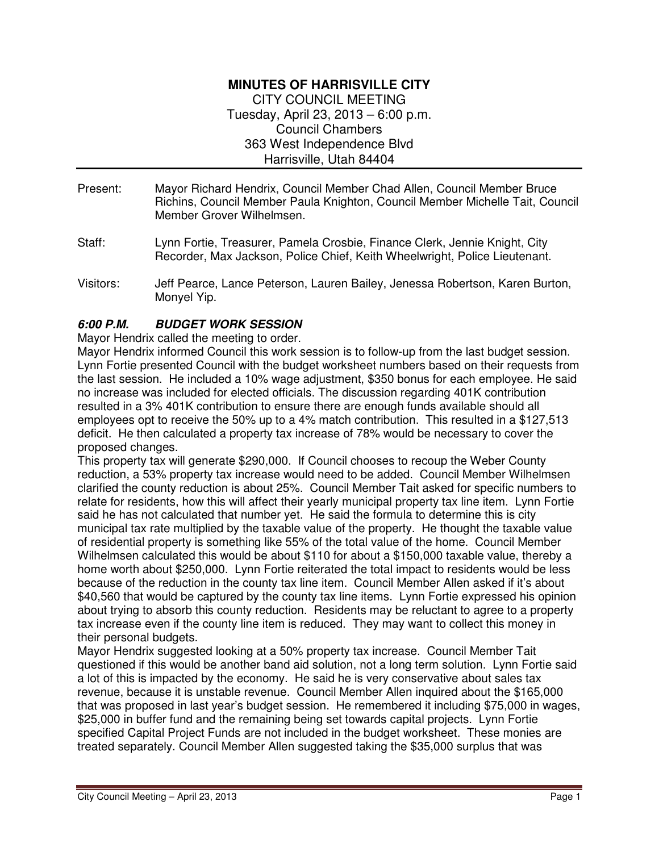### **MINUTES OF HARRISVILLE CITY**  CITY COUNCIL MEETING Tuesday, April 23, 2013 – 6:00 p.m. Council Chambers 363 West Independence Blvd Harrisville, Utah 84404

- Present: Mayor Richard Hendrix, Council Member Chad Allen, Council Member Bruce Richins, Council Member Paula Knighton, Council Member Michelle Tait, Council Member Grover Wilhelmsen.
- Staff: Lynn Fortie, Treasurer, Pamela Crosbie, Finance Clerk, Jennie Knight, City Recorder, Max Jackson, Police Chief, Keith Wheelwright, Police Lieutenant.
- Visitors: Jeff Pearce, Lance Peterson, Lauren Bailey, Jenessa Robertson, Karen Burton, Monyel Yip.

### **6:00 P.M. BUDGET WORK SESSION**

Mayor Hendrix called the meeting to order.

Mayor Hendrix informed Council this work session is to follow-up from the last budget session. Lynn Fortie presented Council with the budget worksheet numbers based on their requests from the last session. He included a 10% wage adjustment, \$350 bonus for each employee. He said no increase was included for elected officials. The discussion regarding 401K contribution resulted in a 3% 401K contribution to ensure there are enough funds available should all employees opt to receive the 50% up to a 4% match contribution. This resulted in a \$127,513 deficit. He then calculated a property tax increase of 78% would be necessary to cover the proposed changes.

This property tax will generate \$290,000. If Council chooses to recoup the Weber County reduction, a 53% property tax increase would need to be added. Council Member Wilhelmsen clarified the county reduction is about 25%. Council Member Tait asked for specific numbers to relate for residents, how this will affect their yearly municipal property tax line item. Lynn Fortie said he has not calculated that number yet. He said the formula to determine this is city municipal tax rate multiplied by the taxable value of the property. He thought the taxable value of residential property is something like 55% of the total value of the home. Council Member Wilhelmsen calculated this would be about \$110 for about a \$150,000 taxable value, thereby a home worth about \$250,000. Lynn Fortie reiterated the total impact to residents would be less because of the reduction in the county tax line item. Council Member Allen asked if it's about \$40,560 that would be captured by the county tax line items. Lynn Fortie expressed his opinion about trying to absorb this county reduction. Residents may be reluctant to agree to a property tax increase even if the county line item is reduced. They may want to collect this money in their personal budgets.

Mayor Hendrix suggested looking at a 50% property tax increase. Council Member Tait questioned if this would be another band aid solution, not a long term solution. Lynn Fortie said a lot of this is impacted by the economy. He said he is very conservative about sales tax revenue, because it is unstable revenue. Council Member Allen inquired about the \$165,000 that was proposed in last year's budget session. He remembered it including \$75,000 in wages, \$25,000 in buffer fund and the remaining being set towards capital projects. Lynn Fortie specified Capital Project Funds are not included in the budget worksheet. These monies are treated separately. Council Member Allen suggested taking the \$35,000 surplus that was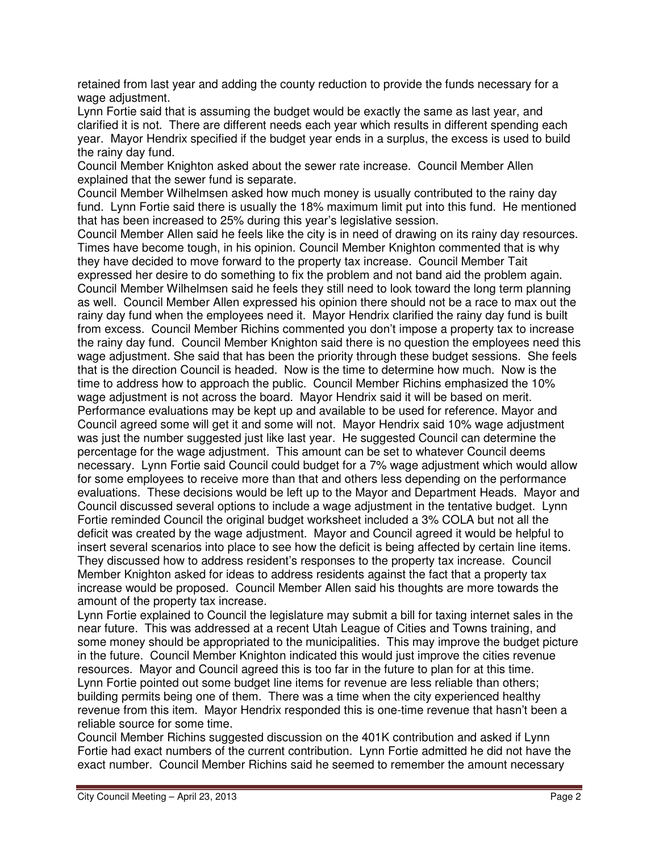retained from last year and adding the county reduction to provide the funds necessary for a wage adjustment.

Lynn Fortie said that is assuming the budget would be exactly the same as last year, and clarified it is not. There are different needs each year which results in different spending each year. Mayor Hendrix specified if the budget year ends in a surplus, the excess is used to build the rainy day fund.

Council Member Knighton asked about the sewer rate increase. Council Member Allen explained that the sewer fund is separate.

Council Member Wilhelmsen asked how much money is usually contributed to the rainy day fund. Lynn Fortie said there is usually the 18% maximum limit put into this fund. He mentioned that has been increased to 25% during this year's legislative session.

Council Member Allen said he feels like the city is in need of drawing on its rainy day resources. Times have become tough, in his opinion. Council Member Knighton commented that is why they have decided to move forward to the property tax increase. Council Member Tait expressed her desire to do something to fix the problem and not band aid the problem again. Council Member Wilhelmsen said he feels they still need to look toward the long term planning as well. Council Member Allen expressed his opinion there should not be a race to max out the rainy day fund when the employees need it. Mayor Hendrix clarified the rainy day fund is built from excess. Council Member Richins commented you don't impose a property tax to increase the rainy day fund. Council Member Knighton said there is no question the employees need this wage adjustment. She said that has been the priority through these budget sessions. She feels that is the direction Council is headed. Now is the time to determine how much. Now is the time to address how to approach the public. Council Member Richins emphasized the 10% wage adjustment is not across the board. Mayor Hendrix said it will be based on merit. Performance evaluations may be kept up and available to be used for reference. Mayor and Council agreed some will get it and some will not. Mayor Hendrix said 10% wage adjustment was just the number suggested just like last year. He suggested Council can determine the percentage for the wage adjustment. This amount can be set to whatever Council deems necessary. Lynn Fortie said Council could budget for a 7% wage adjustment which would allow for some employees to receive more than that and others less depending on the performance evaluations. These decisions would be left up to the Mayor and Department Heads. Mayor and Council discussed several options to include a wage adjustment in the tentative budget. Lynn Fortie reminded Council the original budget worksheet included a 3% COLA but not all the deficit was created by the wage adjustment. Mayor and Council agreed it would be helpful to insert several scenarios into place to see how the deficit is being affected by certain line items. They discussed how to address resident's responses to the property tax increase. Council Member Knighton asked for ideas to address residents against the fact that a property tax increase would be proposed. Council Member Allen said his thoughts are more towards the amount of the property tax increase.

Lynn Fortie explained to Council the legislature may submit a bill for taxing internet sales in the near future. This was addressed at a recent Utah League of Cities and Towns training, and some money should be appropriated to the municipalities. This may improve the budget picture in the future. Council Member Knighton indicated this would just improve the cities revenue resources. Mayor and Council agreed this is too far in the future to plan for at this time. Lynn Fortie pointed out some budget line items for revenue are less reliable than others; building permits being one of them. There was a time when the city experienced healthy revenue from this item. Mayor Hendrix responded this is one-time revenue that hasn't been a reliable source for some time.

Council Member Richins suggested discussion on the 401K contribution and asked if Lynn Fortie had exact numbers of the current contribution. Lynn Fortie admitted he did not have the exact number. Council Member Richins said he seemed to remember the amount necessary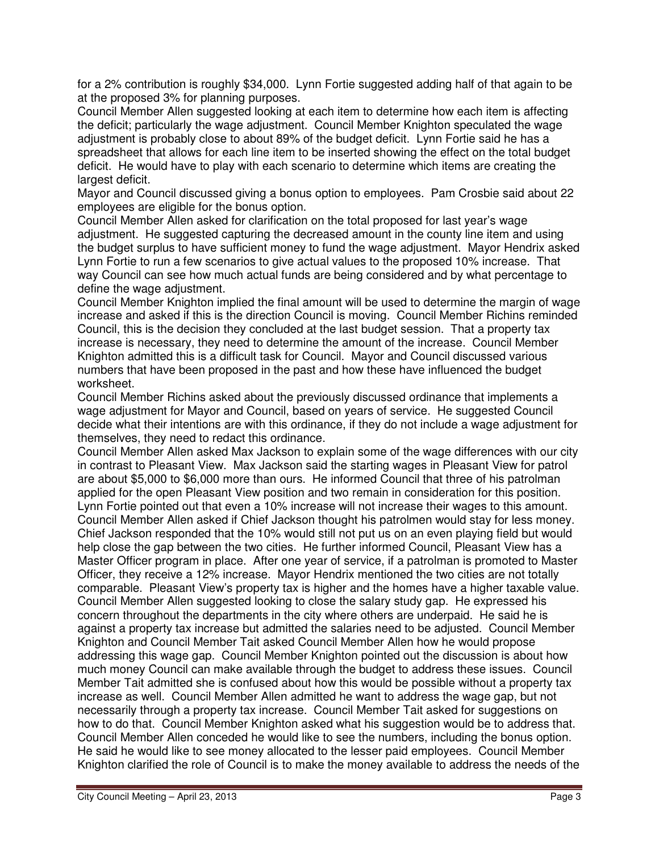for a 2% contribution is roughly \$34,000. Lynn Fortie suggested adding half of that again to be at the proposed 3% for planning purposes.

Council Member Allen suggested looking at each item to determine how each item is affecting the deficit; particularly the wage adjustment. Council Member Knighton speculated the wage adjustment is probably close to about 89% of the budget deficit. Lynn Fortie said he has a spreadsheet that allows for each line item to be inserted showing the effect on the total budget deficit. He would have to play with each scenario to determine which items are creating the largest deficit.

Mayor and Council discussed giving a bonus option to employees. Pam Crosbie said about 22 employees are eligible for the bonus option.

Council Member Allen asked for clarification on the total proposed for last year's wage adjustment. He suggested capturing the decreased amount in the county line item and using the budget surplus to have sufficient money to fund the wage adjustment. Mayor Hendrix asked Lynn Fortie to run a few scenarios to give actual values to the proposed 10% increase. That way Council can see how much actual funds are being considered and by what percentage to define the wage adjustment.

Council Member Knighton implied the final amount will be used to determine the margin of wage increase and asked if this is the direction Council is moving. Council Member Richins reminded Council, this is the decision they concluded at the last budget session. That a property tax increase is necessary, they need to determine the amount of the increase. Council Member Knighton admitted this is a difficult task for Council. Mayor and Council discussed various numbers that have been proposed in the past and how these have influenced the budget worksheet.

Council Member Richins asked about the previously discussed ordinance that implements a wage adjustment for Mayor and Council, based on years of service. He suggested Council decide what their intentions are with this ordinance, if they do not include a wage adjustment for themselves, they need to redact this ordinance.

Council Member Allen asked Max Jackson to explain some of the wage differences with our city in contrast to Pleasant View. Max Jackson said the starting wages in Pleasant View for patrol are about \$5,000 to \$6,000 more than ours. He informed Council that three of his patrolman applied for the open Pleasant View position and two remain in consideration for this position. Lynn Fortie pointed out that even a 10% increase will not increase their wages to this amount. Council Member Allen asked if Chief Jackson thought his patrolmen would stay for less money. Chief Jackson responded that the 10% would still not put us on an even playing field but would help close the gap between the two cities. He further informed Council, Pleasant View has a Master Officer program in place. After one year of service, if a patrolman is promoted to Master Officer, they receive a 12% increase. Mayor Hendrix mentioned the two cities are not totally comparable. Pleasant View's property tax is higher and the homes have a higher taxable value. Council Member Allen suggested looking to close the salary study gap. He expressed his concern throughout the departments in the city where others are underpaid. He said he is against a property tax increase but admitted the salaries need to be adjusted. Council Member Knighton and Council Member Tait asked Council Member Allen how he would propose addressing this wage gap. Council Member Knighton pointed out the discussion is about how much money Council can make available through the budget to address these issues. Council Member Tait admitted she is confused about how this would be possible without a property tax increase as well. Council Member Allen admitted he want to address the wage gap, but not necessarily through a property tax increase. Council Member Tait asked for suggestions on how to do that. Council Member Knighton asked what his suggestion would be to address that. Council Member Allen conceded he would like to see the numbers, including the bonus option. He said he would like to see money allocated to the lesser paid employees. Council Member Knighton clarified the role of Council is to make the money available to address the needs of the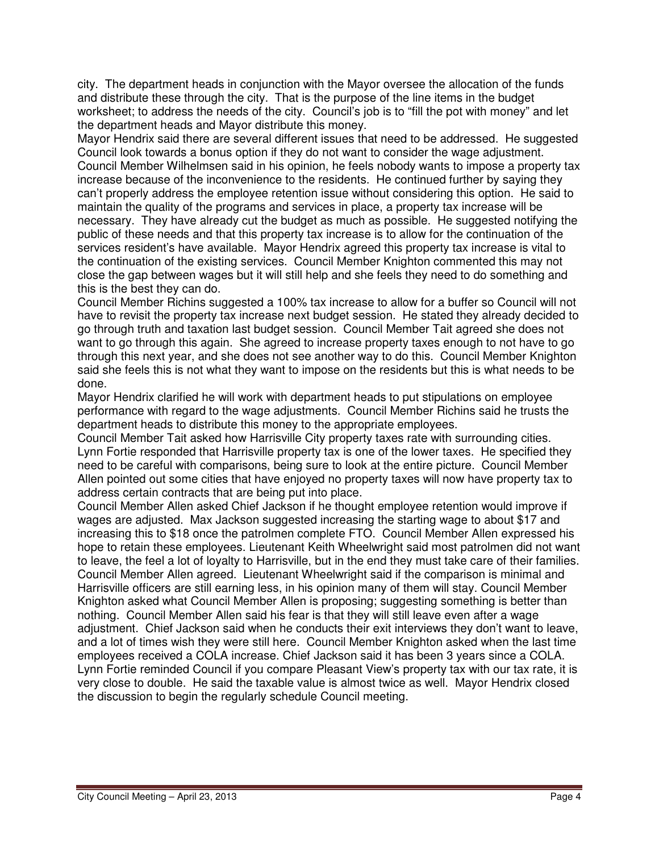city. The department heads in conjunction with the Mayor oversee the allocation of the funds and distribute these through the city. That is the purpose of the line items in the budget worksheet; to address the needs of the city. Council's job is to "fill the pot with money" and let the department heads and Mayor distribute this money.

Mayor Hendrix said there are several different issues that need to be addressed. He suggested Council look towards a bonus option if they do not want to consider the wage adjustment. Council Member Wilhelmsen said in his opinion, he feels nobody wants to impose a property tax increase because of the inconvenience to the residents. He continued further by saying they can't properly address the employee retention issue without considering this option. He said to maintain the quality of the programs and services in place, a property tax increase will be necessary. They have already cut the budget as much as possible. He suggested notifying the public of these needs and that this property tax increase is to allow for the continuation of the services resident's have available. Mayor Hendrix agreed this property tax increase is vital to the continuation of the existing services. Council Member Knighton commented this may not close the gap between wages but it will still help and she feels they need to do something and this is the best they can do.

Council Member Richins suggested a 100% tax increase to allow for a buffer so Council will not have to revisit the property tax increase next budget session. He stated they already decided to go through truth and taxation last budget session. Council Member Tait agreed she does not want to go through this again. She agreed to increase property taxes enough to not have to go through this next year, and she does not see another way to do this. Council Member Knighton said she feels this is not what they want to impose on the residents but this is what needs to be done.

Mayor Hendrix clarified he will work with department heads to put stipulations on employee performance with regard to the wage adjustments. Council Member Richins said he trusts the department heads to distribute this money to the appropriate employees.

Council Member Tait asked how Harrisville City property taxes rate with surrounding cities. Lynn Fortie responded that Harrisville property tax is one of the lower taxes. He specified they need to be careful with comparisons, being sure to look at the entire picture. Council Member Allen pointed out some cities that have enjoyed no property taxes will now have property tax to address certain contracts that are being put into place.

Council Member Allen asked Chief Jackson if he thought employee retention would improve if wages are adjusted. Max Jackson suggested increasing the starting wage to about \$17 and increasing this to \$18 once the patrolmen complete FTO. Council Member Allen expressed his hope to retain these employees. Lieutenant Keith Wheelwright said most patrolmen did not want to leave, the feel a lot of loyalty to Harrisville, but in the end they must take care of their families. Council Member Allen agreed. Lieutenant Wheelwright said if the comparison is minimal and Harrisville officers are still earning less, in his opinion many of them will stay. Council Member Knighton asked what Council Member Allen is proposing; suggesting something is better than nothing. Council Member Allen said his fear is that they will still leave even after a wage adjustment. Chief Jackson said when he conducts their exit interviews they don't want to leave, and a lot of times wish they were still here. Council Member Knighton asked when the last time employees received a COLA increase. Chief Jackson said it has been 3 years since a COLA. Lynn Fortie reminded Council if you compare Pleasant View's property tax with our tax rate, it is very close to double. He said the taxable value is almost twice as well. Mayor Hendrix closed the discussion to begin the regularly schedule Council meeting.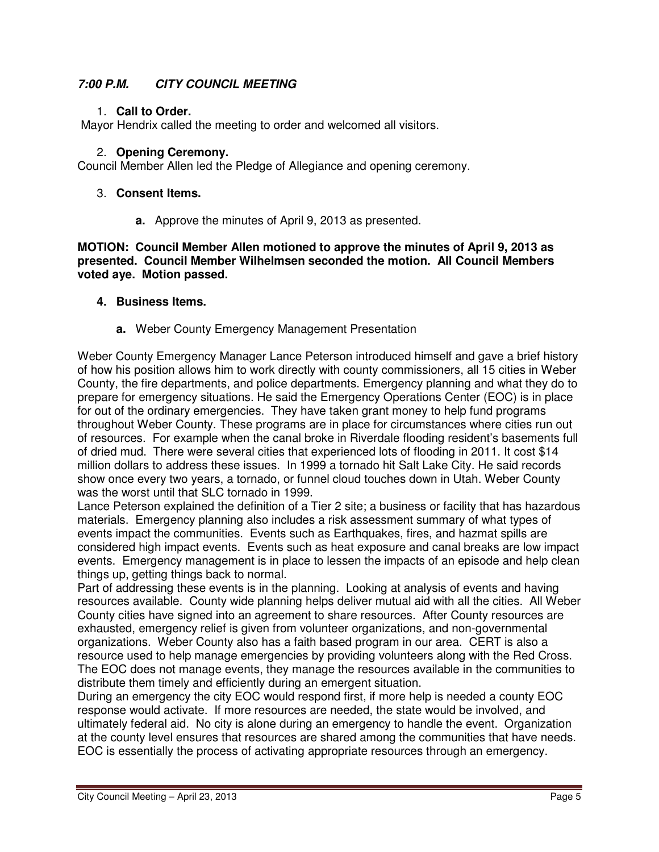### **7:00 P.M. CITY COUNCIL MEETING**

#### 1. **Call to Order.**

Mayor Hendrix called the meeting to order and welcomed all visitors.

#### 2. **Opening Ceremony.**

Council Member Allen led the Pledge of Allegiance and opening ceremony.

#### 3. **Consent Items.**

**a.** Approve the minutes of April 9, 2013 as presented.

**MOTION: Council Member Allen motioned to approve the minutes of April 9, 2013 as presented. Council Member Wilhelmsen seconded the motion. All Council Members voted aye. Motion passed.** 

#### **4. Business Items.**

**a.** Weber County Emergency Management Presentation

Weber County Emergency Manager Lance Peterson introduced himself and gave a brief history of how his position allows him to work directly with county commissioners, all 15 cities in Weber County, the fire departments, and police departments. Emergency planning and what they do to prepare for emergency situations. He said the Emergency Operations Center (EOC) is in place for out of the ordinary emergencies. They have taken grant money to help fund programs throughout Weber County. These programs are in place for circumstances where cities run out of resources. For example when the canal broke in Riverdale flooding resident's basements full of dried mud. There were several cities that experienced lots of flooding in 2011. It cost \$14 million dollars to address these issues. In 1999 a tornado hit Salt Lake City. He said records show once every two years, a tornado, or funnel cloud touches down in Utah. Weber County was the worst until that SLC tornado in 1999.

Lance Peterson explained the definition of a Tier 2 site; a business or facility that has hazardous materials. Emergency planning also includes a risk assessment summary of what types of events impact the communities. Events such as Earthquakes, fires, and hazmat spills are considered high impact events. Events such as heat exposure and canal breaks are low impact events. Emergency management is in place to lessen the impacts of an episode and help clean things up, getting things back to normal.

Part of addressing these events is in the planning. Looking at analysis of events and having resources available. County wide planning helps deliver mutual aid with all the cities. All Weber County cities have signed into an agreement to share resources. After County resources are exhausted, emergency relief is given from volunteer organizations, and non-governmental organizations. Weber County also has a faith based program in our area. CERT is also a resource used to help manage emergencies by providing volunteers along with the Red Cross. The EOC does not manage events, they manage the resources available in the communities to distribute them timely and efficiently during an emergent situation.

During an emergency the city EOC would respond first, if more help is needed a county EOC response would activate. If more resources are needed, the state would be involved, and ultimately federal aid. No city is alone during an emergency to handle the event. Organization at the county level ensures that resources are shared among the communities that have needs. EOC is essentially the process of activating appropriate resources through an emergency.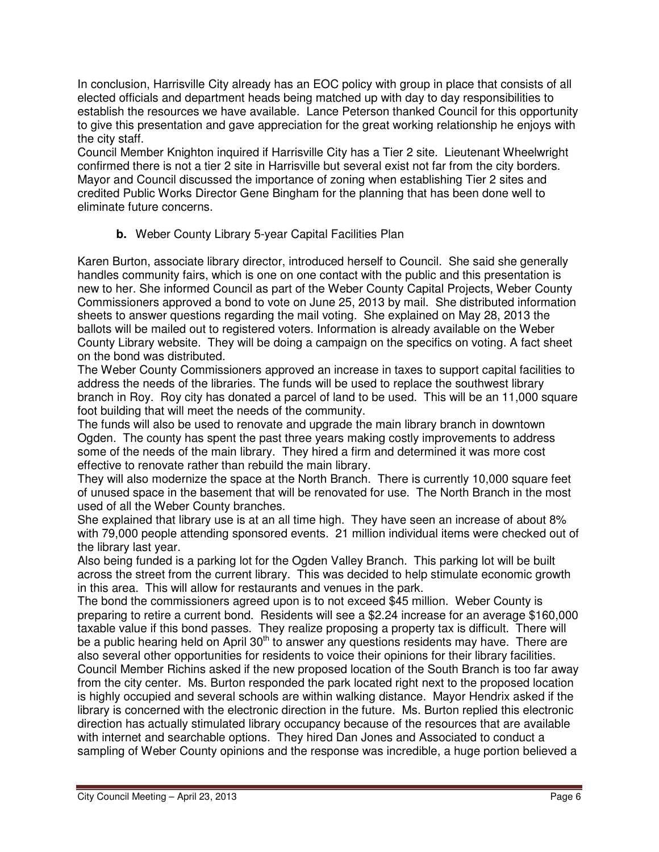In conclusion, Harrisville City already has an EOC policy with group in place that consists of all elected officials and department heads being matched up with day to day responsibilities to establish the resources we have available. Lance Peterson thanked Council for this opportunity to give this presentation and gave appreciation for the great working relationship he enjoys with the city staff.

Council Member Knighton inquired if Harrisville City has a Tier 2 site. Lieutenant Wheelwright confirmed there is not a tier 2 site in Harrisville but several exist not far from the city borders. Mayor and Council discussed the importance of zoning when establishing Tier 2 sites and credited Public Works Director Gene Bingham for the planning that has been done well to eliminate future concerns.

### **b.** Weber County Library 5-year Capital Facilities Plan

Karen Burton, associate library director, introduced herself to Council. She said she generally handles community fairs, which is one on one contact with the public and this presentation is new to her. She informed Council as part of the Weber County Capital Projects, Weber County Commissioners approved a bond to vote on June 25, 2013 by mail. She distributed information sheets to answer questions regarding the mail voting. She explained on May 28, 2013 the ballots will be mailed out to registered voters. Information is already available on the Weber County Library website. They will be doing a campaign on the specifics on voting. A fact sheet on the bond was distributed.

The Weber County Commissioners approved an increase in taxes to support capital facilities to address the needs of the libraries. The funds will be used to replace the southwest library branch in Roy. Roy city has donated a parcel of land to be used. This will be an 11,000 square foot building that will meet the needs of the community.

The funds will also be used to renovate and upgrade the main library branch in downtown Ogden. The county has spent the past three years making costly improvements to address some of the needs of the main library. They hired a firm and determined it was more cost effective to renovate rather than rebuild the main library.

They will also modernize the space at the North Branch. There is currently 10,000 square feet of unused space in the basement that will be renovated for use. The North Branch in the most used of all the Weber County branches.

She explained that library use is at an all time high. They have seen an increase of about 8% with 79,000 people attending sponsored events. 21 million individual items were checked out of the library last year.

Also being funded is a parking lot for the Ogden Valley Branch. This parking lot will be built across the street from the current library. This was decided to help stimulate economic growth in this area. This will allow for restaurants and venues in the park.

The bond the commissioners agreed upon is to not exceed \$45 million. Weber County is preparing to retire a current bond. Residents will see a \$2.24 increase for an average \$160,000 taxable value if this bond passes. They realize proposing a property tax is difficult. There will be a public hearing held on April  $30<sup>th</sup>$  to answer any questions residents may have. There are also several other opportunities for residents to voice their opinions for their library facilities. Council Member Richins asked if the new proposed location of the South Branch is too far away from the city center. Ms. Burton responded the park located right next to the proposed location is highly occupied and several schools are within walking distance. Mayor Hendrix asked if the library is concerned with the electronic direction in the future. Ms. Burton replied this electronic direction has actually stimulated library occupancy because of the resources that are available with internet and searchable options. They hired Dan Jones and Associated to conduct a sampling of Weber County opinions and the response was incredible, a huge portion believed a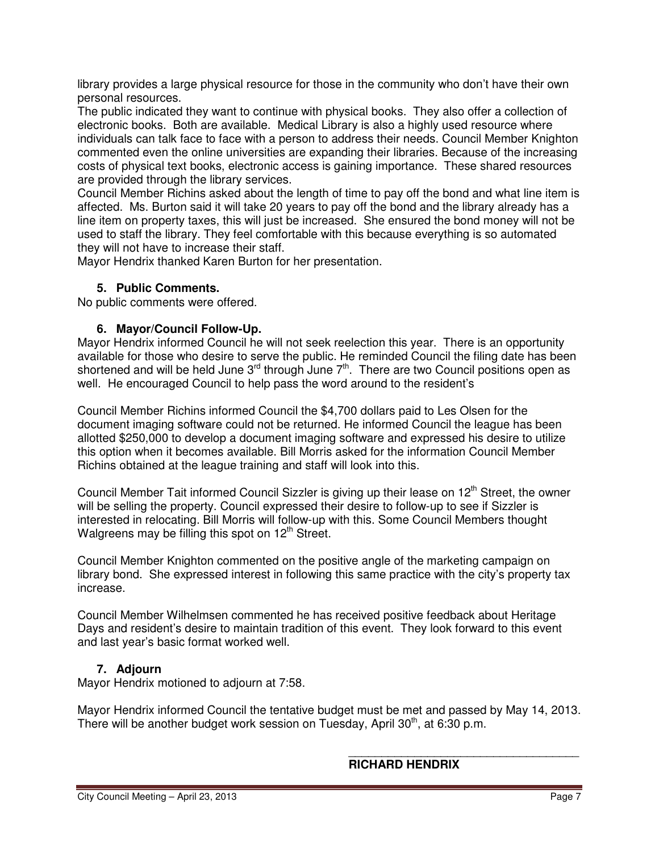library provides a large physical resource for those in the community who don't have their own personal resources.

The public indicated they want to continue with physical books. They also offer a collection of electronic books. Both are available. Medical Library is also a highly used resource where individuals can talk face to face with a person to address their needs. Council Member Knighton commented even the online universities are expanding their libraries. Because of the increasing costs of physical text books, electronic access is gaining importance. These shared resources are provided through the library services.

Council Member Richins asked about the length of time to pay off the bond and what line item is affected. Ms. Burton said it will take 20 years to pay off the bond and the library already has a line item on property taxes, this will just be increased. She ensured the bond money will not be used to staff the library. They feel comfortable with this because everything is so automated they will not have to increase their staff.

Mayor Hendrix thanked Karen Burton for her presentation.

### **5. Public Comments.**

No public comments were offered.

#### **6. Mayor/Council Follow-Up.**

Mayor Hendrix informed Council he will not seek reelection this year. There is an opportunity available for those who desire to serve the public. He reminded Council the filing date has been shortened and will be held June  $3^{rd}$  through June  $7^{th}$ . There are two Council positions open as well. He encouraged Council to help pass the word around to the resident's

Council Member Richins informed Council the \$4,700 dollars paid to Les Olsen for the document imaging software could not be returned. He informed Council the league has been allotted \$250,000 to develop a document imaging software and expressed his desire to utilize this option when it becomes available. Bill Morris asked for the information Council Member Richins obtained at the league training and staff will look into this.

Council Member Tait informed Council Sizzler is giving up their lease on  $12<sup>th</sup>$  Street, the owner will be selling the property. Council expressed their desire to follow-up to see if Sizzler is interested in relocating. Bill Morris will follow-up with this. Some Council Members thought Walgreens may be filling this spot on 12<sup>th</sup> Street.

Council Member Knighton commented on the positive angle of the marketing campaign on library bond. She expressed interest in following this same practice with the city's property tax increase.

Council Member Wilhelmsen commented he has received positive feedback about Heritage Days and resident's desire to maintain tradition of this event. They look forward to this event and last year's basic format worked well.

### **7. Adjourn**

Mayor Hendrix motioned to adjourn at 7:58.

Mayor Hendrix informed Council the tentative budget must be met and passed by May 14, 2013. There will be another budget work session on Tuesday, April  $30<sup>th</sup>$ , at 6:30 p.m.

 $\overline{\phantom{a}}$ 

## **RICHARD HENDRIX**